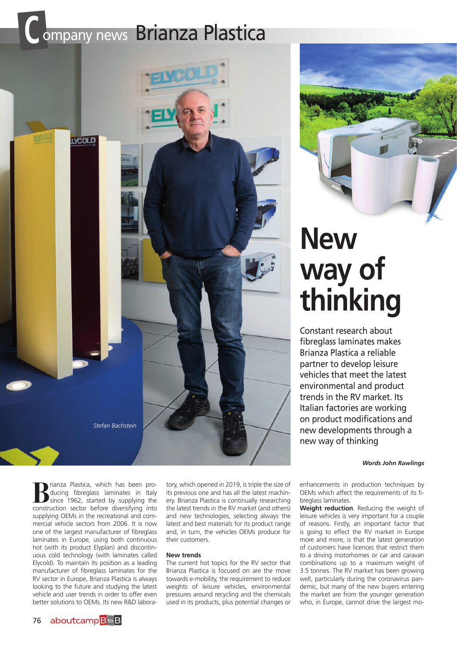# **COMPANY NEWS Brianza Plastica**



**New way of thinking**

Constant research about fibreglass laminates makes Brianza Plastica a reliable partner to develop leisure vehicles that meet the latest environmental and product trends in the RV market. Its Italian factories are working on product modifications and new developments through a new way of thinking

#### *Words John Rawlings*

**Brianza Plastica, which has been pro-<br>ducing fibreglass laminates in Italy<br>since 1962, started by supplying the<br>construction sector before diversifying into** ducing fibreglass laminates in Italy construction sector before diversifying into supplying OEMs in the recreational and commercial vehicle sectors from 2006. It is now one of the largest manufacturer of fibreglass laminates in Europe, using both continuous hot (with its product Elyplan) and discontinuous cold technology (with laminates called Elycold). To maintain its position as a leading manufacturer of fibreglass laminates for the RV sector in Europe, Brianza Plastica is always looking to the future and studying the latest vehicle and user trends in order to offer even better solutions to OEMs. Its new R&D labora-

tory, which opened in 2019, is triple the size of its previous one and has all the latest machinery. Brianza Plastica is continually researching the latest trends in the RV market (and others) and new technologies, selecting always the latest and best materials for its product range and, in turn, the vehicles OEMs produce for their customers.

## **New trends**

The current hot topics for the RV sector that Brianza Plastica is focused on are the move towards e-mobility, the requirement to reduce weights of leisure vehicles, environmental pressures around recycling and the chemicals used in its products, plus potential changes or

enhancements in production techniques by OEMs which affect the requirements of its fibreglass laminates.

**Weight reduction**. Reducing the weight of leisure vehicles is very important for a couple of reasons. Firstly, an important factor that is going to effect the RV market in Europe more and more, is that the latest generation of customers have licences that restrict them to a driving motorhomes or car and caravan combinations up to a maximum weight of 3.5 tonnes. The RV market has been growing well, particularly during the coronavirus pandemic, but many of the new buyers entering the market are from the younger generation who, in Europe, cannot drive the largest mo-